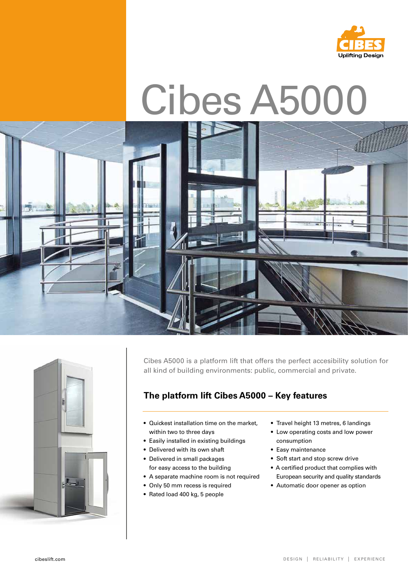

# Cibes A5000





Cibes A5000 is a platform lift that offers the perfect accesibility solution for all kind of building environments: public, commercial and private.

# **The platform lift Cibes A5000 – Key features**

- Quickest installation time on the market, within two to three days
- Easily installed in existing buildings
- Delivered with its own shaft
- Delivered in small packages for easy access to the building
- A separate machine room is not required
- Only 50 mm recess is required
- Rated load 400 kg, 5 people
- Travel height 13 metres, 6 landings
- Low operating costs and low power consumption
- Easy maintenance
- Soft start and stop screw drive
- A certified product that complies with European security and quality standards
- Automatic door opener as option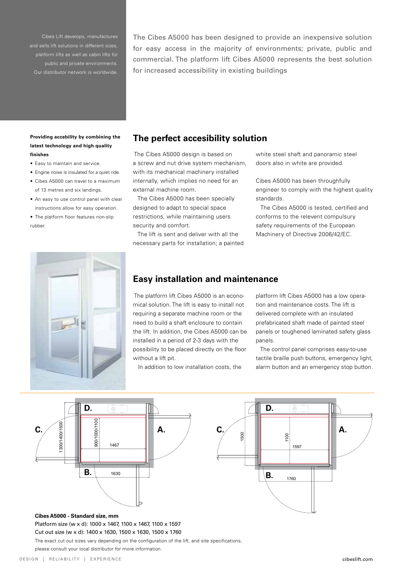Cibes Lift develops, manufactures platform lifts as well as cabin lifts for public and private environments. Our distributor network is worldwide.

The Cibes A5000 has been designed to provide an inexpensive solution for easy access in the majority of environments; private, public and commercial. The platform lift Cibes A5000 represents the best solution for increased accessibility in existing buildings

#### **Providing accebility by combining the latest technology and high quality finishes**

- Easy to maintain and service.
- Engine noise is insulated for a quiet ride.
- Cibes A5000 can travel to a maximum of 13 metres and six landings.
- An easy to use control panel with clear instructions allow for easy operation.
- The platform floor features non-slip rubber.



#### **The perfect accesibility solution**

 The Cibes A5000 design is based on a screw and nut drive system mechanism, with its mechanical machinery installed internally, which implies no need for an external machine room.

 The Cibes A5000 has been specially designed to adapt to special space restrictions, while maintaining users security and comfort.

 The lift is sent and deliver with all the necessary parts for installation; a painted white steel shaft and panoramic steel doors also in white are provided.

Cibes A5000 has been throughfully engineer to comply with the highest quality standards.

 The Cibes A5000 is tested, certified and conforms to the relevent compulsury safety requirements of the European Machinery of Directive 2006/42/EC.

### **Easy installation and maintenance**

 The platform lift Cibes A5000 is an economical solution. The lift is easy to install not requiring a separate machine room or the need to build a shaft enclosure to contain the lift. In addition, the Cibes A5000 can be installed in a period of 2-3 days with the possibility to be placed directly on the floor without a lift pit.

In addition to low installation costs, the

platform lift Cibes A5000 has a low operation and maintenance costs. The lift is delivered complete with an insulated prefabricated shaft made of painted steel panels or toughened laminated safety glass panels.

 The control panel comprises easy-to-use tactile braille push buttons, emergency light, alarm button and an emergency stop button.





**Cibes A5000 - Standard size, mm** Platform size (w x d): 1000 x 1467, 1100 x 1467, 1100 x 1597 Cut out size (w x d): 1400 x 1630, 1500 x 1630, 1500 x 1760 The exact cut out sizes vary depending on the configuration of the lift, and site specifications,

please consult your local distributor for more information.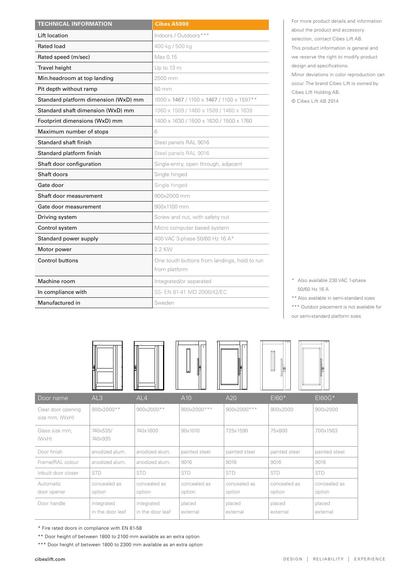| <b>TECHNICAL INFORMATION</b>         | <b>Cibes A5000</b>                                            |
|--------------------------------------|---------------------------------------------------------------|
| Lift location                        | Indoors / Outdoors***                                         |
| <b>Rated load</b>                    | 400 kg / 500 kg                                               |
| Rated speed (m/sec)                  | Max 0.15                                                      |
| Travel height                        | Up to 13 m                                                    |
| Min.headroom at top landing          | 2500 mm                                                       |
| Pit depth without ramp               | 50 mm                                                         |
| Standard platform dimension (WxD) mm | 1000 x 1467 / 1100 x 1467 / 1100 x 1597 **                    |
| Standard shaft dimension (WxD) mm    | 1360 x 1509 / 1460 x 1509 / 1460 x 1639                       |
| Footprint dimensions (WxD) mm        | 1400 x 1630 / 1500 x 1630 / 1500 x 1760                       |
| Maximum number of stops              | 6                                                             |
| Standard shaft finish                | Steel panels RAL 9016                                         |
| Standard platform finish             | Steel panels RAL 9016                                         |
| Shaft door configuration             | Single-entry, open through, adjacent                          |
| Shaft doors                          | Single hinged                                                 |
| Gate door                            | Single hinged                                                 |
| Shaft door measurement               | 900x2000 mm                                                   |
| Gate door measurement                | 900x1100 mm                                                   |
| Driving system                       | Screw and nut, with safety nut                                |
| Control system                       | Micro computer based system                                   |
| Standard power supply                | 400 VAC 3-phase 50/60 Hz 16 A*                                |
| Motor power                          | 2.2 KW                                                        |
| <b>Control buttons</b>               | One touch buttons from landings, hold to run<br>from platform |
| Machine room                         | Integrated/or separated                                       |
| In compliance with                   | SS- EN 81-41 MD 2006/42/EC                                    |
| Manufactured in                      | Sweden                                                        |

For more product details and information about the product and accessory selection, contact Cibes Lift AB. This product information is general and we reserve the right to modify product design and specifications. Minor deviations in color reproduction can occur. The brand Cibes Lift is owned by Cibes Lift Holding AB.

© Cibes Lift AB 2014

\* Also available 230 VAC 1-phase 50/60 Hz 16 A

\*\* Also available in semi-standard sizes

\*\*\* Outdoor placement is not available for

our semi-standard platform sizes

|                                      |                                | Ħ                              | $\mathbf{F}$           | IF                     | $\overline{\phantom{0}}$<br>$\mathbb{I}_{\mathbf{E}}$ | $\frac{1}{2}$          |
|--------------------------------------|--------------------------------|--------------------------------|------------------------|------------------------|-------------------------------------------------------|------------------------|
| Door name                            | AL3                            | AL4                            | A10                    | A20                    | $E$ <sub>160</sub> $*$                                | E160G*                 |
| Clear door opening<br>size mm, (WxH) | 900x2000**                     | 900x2000**                     | 900x2000***            | 900x2000***            | 900×2000                                              | 900×2000               |
| Glass size mm,<br>(WxH)              | 740×535/<br>740×935            | 740×1600                       | 90×1010                | 725x1590               | 75×800                                                | 700x1563               |
| Door finish                          | anodized alum.                 | anodized alum.                 | painted steel          | painted steel          | painted steel                                         | painted steel          |
| Frame/RAL colour                     | anodized alum.                 | anodized alum.                 | 9016                   | 9016                   | 9016                                                  | 9016                   |
| Inbuilt door closer                  | <b>STD</b>                     | <b>STD</b>                     | <b>STD</b>             | <b>STD</b>             | <b>STD</b>                                            | <b>STD</b>             |
| Automatic<br>door opener             | concealed as<br>option         | concealed as<br>option         | concealed as<br>option | concealed as<br>option | concealed as<br>option                                | concealed as<br>option |
| Door handle                          | integrated<br>in the door leaf | integrated<br>in the door leaf | placed<br>external     | placed<br>external     | placed<br>external                                    | placed<br>external     |

<sup>\*</sup> Fire rated doors in compliance with EN 81-58

\*\* Door height of between 1800 to 2100 mm available as an extra option

\*\*\* Door height of between 1800 to 2300 mm available as an extra option

1469